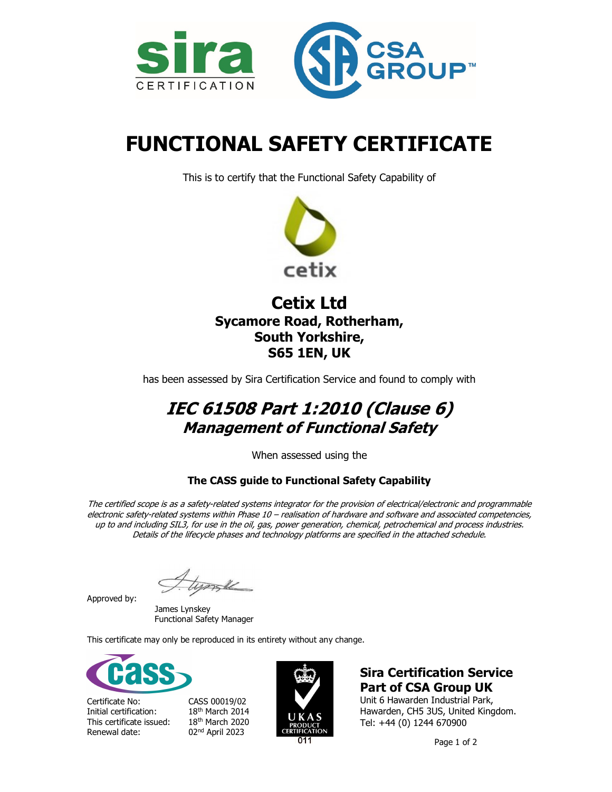



# FUNCTIONAL SAFETY CERTIFICATE

This is to certify that the Functional Safety Capability of



## Cetix Ltd Sycamore Road, Rotherham, South Yorkshire, S65 1EN, UK

has been assessed by Sira Certification Service and found to comply with

## IEC 61508 Part 1:2010 (Clause 6) Management of Functional Safety

When assessed using the

## The CASS guide to Functional Safety Capability

The certified scope is as a safety-related systems integrator for the provision of electrical/electronic and programmable electronic safety-related systems within Phase 10 – realisation of hardware and software and associated competencies, up to and including SIL3, for use in the oil, gas, power generation, chemical, petrochemical and process industries. Details of the lifecycle phases and technology platforms are specified in the attached schedule.

Approved by:

 James Lynskey Functional Safety Manager

This certificate may only be reproduced in its entirety without any change.



Certificate No: CASS 00019/02 Initial certification: 18<sup>th</sup> March 2014<br>This certificate issued: 18<sup>th</sup> March 2020 This certificate issued: Renewal date: 02nd April 2023



## Sira Certification Service Part of CSA Group UK

Unit 6 Hawarden Industrial Park, Hawarden, CH5 3US, United Kingdom. Tel: +44 (0) 1244 670900